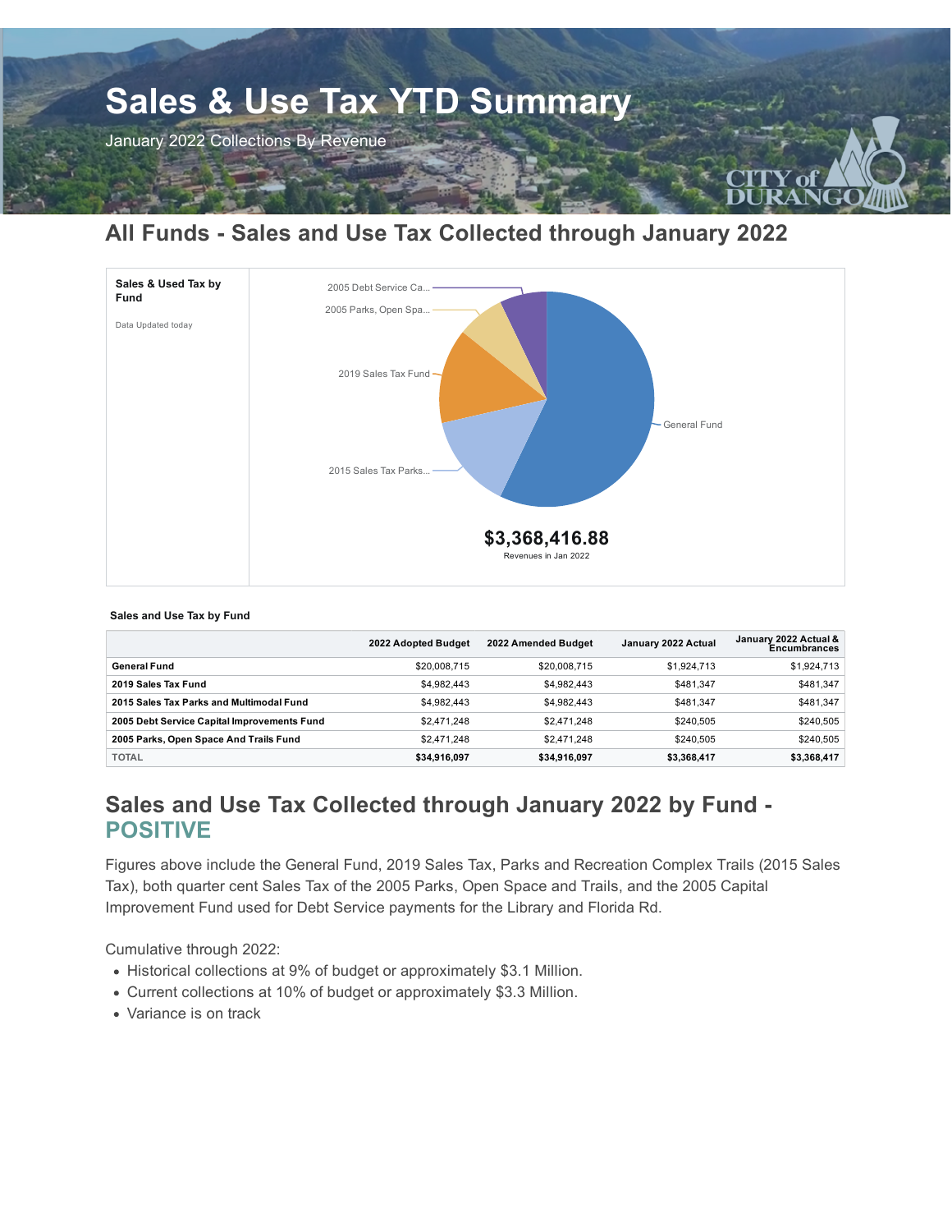

# **All Funds - Sales and Use Tax Collected through January 2022**



#### **Sales and Use Tax by Fund**

|                                             | 2022 Adopted Budget | 2022 Amended Budget | January 2022 Actual | January 2022 Actual &<br>Encumbrances |
|---------------------------------------------|---------------------|---------------------|---------------------|---------------------------------------|
| General Fund                                | \$20,008,715        | \$20,008,715        | \$1,924,713         | \$1,924,713                           |
| 2019 Sales Tax Fund                         | \$4.982.443         | \$4,982,443         | \$481.347           | \$481,347                             |
| 2015 Sales Tax Parks and Multimodal Fund    | \$4.982.443         | \$4,982,443         | \$481.347           | \$481.347                             |
| 2005 Debt Service Capital Improvements Fund | \$2,471,248         | \$2,471,248         | \$240.505           | \$240,505                             |
| 2005 Parks, Open Space And Trails Fund      | \$2,471,248         | \$2,471,248         | \$240.505           | \$240.505                             |
| <b>TOTAL</b>                                | \$34,916,097        | \$34,916,097        | \$3,368,417         | \$3,368,417                           |

# **Sales and Use Tax Collected through January 2022 by Fund - POSITIVE**

Figures above include the General Fund, 2019 Sales Tax, Parks and Recreation Complex Trails (2015 Sales Tax), both quarter cent Sales Tax of the 2005 Parks, Open Space and Trails, and the 2005 Capital Improvement Fund used for Debt Service payments for the Library and Florida Rd.

Cumulative through 2022:

- Historical collections at 9% of budget or approximately \$3.1 Million.
- Current collections at 10% of budget or approximately \$3.3 Million.
- Variance is on track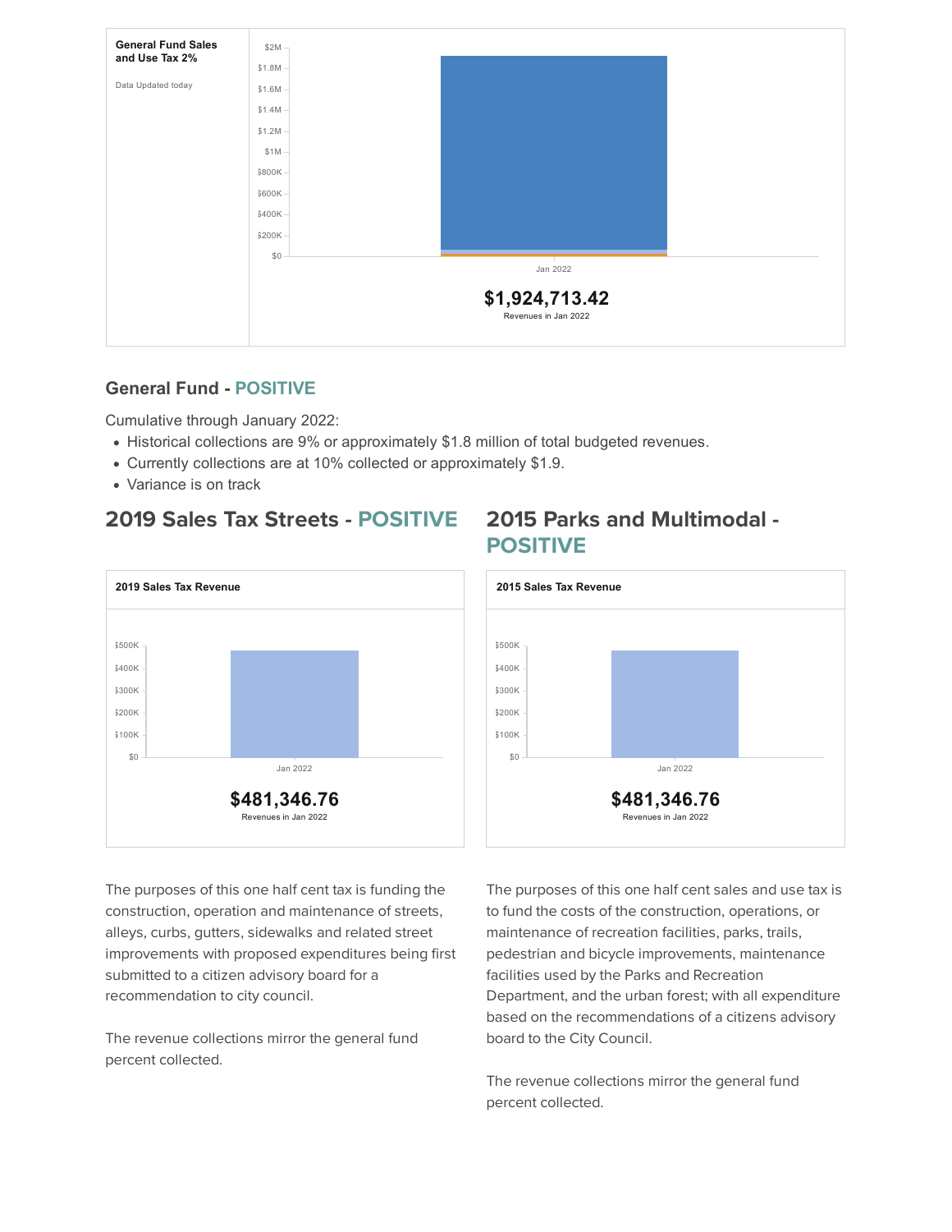

### **General Fund - POSITIVE**

Cumulative through January 2022:

- Historical collections are 9% or approximately \$1.8 million of total budgeted revenues.
- Currently collections are at 10% collected or approximately \$1.9.
- Variance is on track

## **2019 Sales Tax Streets - POSITIVE 2015 Parks and Multimodal -**



# **POSITIVE**



The purposes of this one half cent tax is funding the construction, operation and maintenance of streets, alleys, curbs, gutters, sidewalks and related street improvements with proposed expenditures being first submitted to a citizen advisory board for a recommendation to city council.

The revenue collections mirror the general fund percent collected.

The purposes of this one half cent sales and use tax is to fund the costs of the construction, operations, or maintenance of recreation facilities, parks, trails, pedestrian and bicycle improvements, maintenance facilities used by the Parks and Recreation Department, and the urban forest; with all expenditure based on the recommendations of a citizens advisory board to the City Council.

The revenue collections mirror the general fund percent collected.